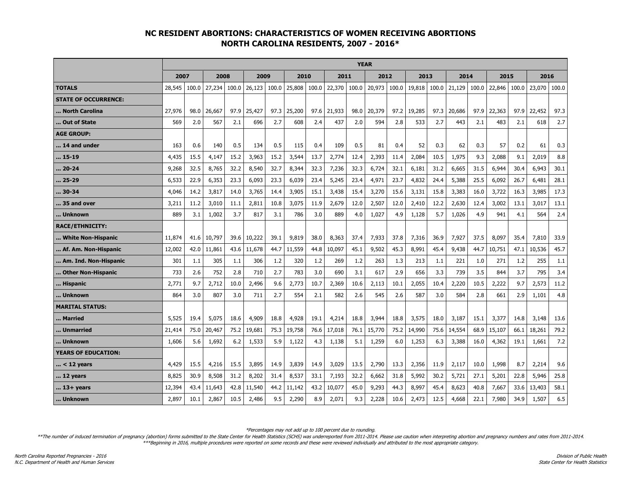## **NC RESIDENT ABORTIONS: CHARACTERISTICS OF WOMEN RECEIVING ABORTIONS NORTH CAROLINA RESIDENTS, 2007 - 2016\***

|                             | <b>YEAR</b> |       |        |       |        |       |        |       |        |       |        |       |        |       |        |       |        |       |        |       |
|-----------------------------|-------------|-------|--------|-------|--------|-------|--------|-------|--------|-------|--------|-------|--------|-------|--------|-------|--------|-------|--------|-------|
|                             | 2007        |       | 2008   |       | 2009   |       | 2010   |       | 2011   |       | 2012   |       | 2013   |       | 2014   |       | 2015   |       | 2016   |       |
| <b>TOTALS</b>               | 28,545      | 100.0 | 27,234 | 100.0 | 26,123 | 100.0 | 25,808 | 100.0 | 22,370 | 100.0 | 20,973 | 100.0 | 19,818 | 100.0 | 21,129 | 100.0 | 22,846 | 100.0 | 23,070 | 100.0 |
| <b>STATE OF OCCURRENCE:</b> |             |       |        |       |        |       |        |       |        |       |        |       |        |       |        |       |        |       |        |       |
| North Carolina              | 27,976      | 98.0  | 26,667 | 97.9  | 25,427 | 97.3  | 25,200 | 97.6  | 21,933 | 98.0  | 20,379 | 97.2  | 19,285 | 97.3  | 20,686 | 97.9  | 22,363 | 97.9  | 22,452 | 97.3  |
| Out of State                | 569         | 2.0   | 567    | 2.1   | 696    | 2.7   | 608    | 2.4   | 437    | 2.0   | 594    | 2.8   | 533    | 2.7   | 443    | 2.1   | 483    | 2.1   | 618    | 2.7   |
| <b>AGE GROUP:</b>           |             |       |        |       |        |       |        |       |        |       |        |       |        |       |        |       |        |       |        |       |
| 14 and under                | 163         | 0.6   | 140    | 0.5   | 134    | 0.5   | 115    | 0.4   | 109    | 0.5   | 81     | 0.4   | 52     | 0.3   | 62     | 0.3   | 57     | 0.2   | 61     | 0.3   |
| 15-19                       | 4,435       | 15.5  | 4,147  | 15.2  | 3,963  | 15.2  | 3,544  | 13.7  | 2,774  | 12.4  | 2,393  | 11.4  | 2,084  | 10.5  | 1,975  | 9.3   | 2,088  | 9.1   | 2,019  | 8.8   |
| 20-24                       | 9,268       | 32.5  | 8,765  | 32.2  | 8,540  | 32.7  | 8,344  | 32.3  | 7,236  | 32.3  | 6,724  | 32.1  | 6,181  | 31.2  | 6,665  | 31.5  | 6,944  | 30.4  | 6,943  | 30.1  |
| 25-29                       | 6,533       | 22.9  | 6,353  | 23.3  | 6,093  | 23.3  | 6,039  | 23.4  | 5,245  | 23.4  | 4,971  | 23.7  | 4,832  | 24.4  | 5,388  | 25.5  | 6,092  | 26.7  | 6,481  | 28.1  |
| 30-34                       | 4,046       | 14.2  | 3,817  | 14.0  | 3,765  | 14.4  | 3,905  | 15.1  | 3,438  | 15.4  | 3,270  | 15.6  | 3,131  | 15.8  | 3,383  | 16.0  | 3,722  | 16.3  | 3,985  | 17.3  |
| 35 and over                 | 3,211       | 11.2  | 3,010  | 11.1  | 2,811  | 10.8  | 3,075  | 11.9  | 2,679  | 12.0  | 2,507  | 12.0  | 2,410  | 12.2  | 2,630  | 12.4  | 3,002  | 13.1  | 3,017  | 13.1  |
| Unknown                     | 889         | 3.1   | 1,002  | 3.7   | 817    | 3.1   | 786    | 3.0   | 889    | 4.0   | 1,027  | 4.9   | 1,128  | 5.7   | 1,026  | 4.9   | 941    | 4.1   | 564    | 2.4   |
| <b>RACE/ETHNICITY:</b>      |             |       |        |       |        |       |        |       |        |       |        |       |        |       |        |       |        |       |        |       |
| White Non-Hispanic          | 11,874      | 41.6  | 10,797 | 39.6  | 10,222 | 39.1  | 9,819  | 38.0  | 8,363  | 37.4  | 7,933  | 37.8  | 7,316  | 36.9  | 7,927  | 37.5  | 8,097  | 35.4  | 7,810  | 33.9  |
| Af. Am. Non-Hispanic        | 12,002      | 42.0  | 11,861 | 43.6  | 11,678 | 44.7  | 11,559 | 44.8  | 10,097 | 45.1  | 9,502  | 45.3  | 8,991  | 45.4  | 9,438  | 44.7  | 10,751 | 47.1  | 10,536 | 45.7  |
| Am. Ind. Non-Hispanic       | 301         | 1.1   | 305    | 1.1   | 306    | 1.2   | 320    | 1.2   | 269    | 1.2   | 263    | 1.3   | 213    | 1.1   | 221    | 1.0   | 271    | 1.2   | 255    | 1.1   |
| Other Non-Hispanic          | 733         | 2.6   | 752    | 2.8   | 710    | 2.7   | 783    | 3.0   | 690    | 3.1   | 617    | 2.9   | 656    | 3.3   | 739    | 3.5   | 844    | 3.7   | 795    | 3.4   |
| Hispanic                    | 2,771       | 9.7   | 2,712  | 10.0  | 2,496  | 9.6   | 2,773  | 10.7  | 2,369  | 10.6  | 2.113  | 10.1  | 2,055  | 10.4  | 2,220  | 10.5  | 2,222  | 9.7   | 2,573  | 11.2  |
| Unknown                     | 864         | 3.0   | 807    | 3.0   | 711    | 2.7   | 554    | 2.1   | 582    | 2.6   | 545    | 2.6   | 587    | 3.0   | 584    | 2.8   | 661    | 2.9   | 1,101  | 4.8   |
| <b>MARITAL STATUS:</b>      |             |       |        |       |        |       |        |       |        |       |        |       |        |       |        |       |        |       |        |       |
| Married                     | 5,525       | 19.4  | 5,075  | 18.6  | 4,909  | 18.8  | 4,928  | 19.1  | 4,214  | 18.8  | 3,944  | 18.8  | 3,575  | 18.0  | 3,187  | 15.1  | 3,377  | 14.8  | 3,148  | 13.6  |
| Unmarried                   | 21,414      | 75.0  | 20,467 | 75.2  | 19,681 | 75.3  | 19,758 | 76.6  | 17,018 | 76.1  | 15,770 | 75.2  | 14,990 | 75.6  | 14,554 | 68.9  | 15,107 | 66.1  | 18,261 | 79.2  |
| Unknown                     | 1,606       | 5.6   | 1,692  | $6.2$ | 1,533  | 5.9   | 1,122  | 4.3   | 1,138  | 5.1   | 1,259  | 6.0   | 1,253  | 6.3   | 3,388  | 16.0  | 4,362  | 19.1  | 1,661  | 7.2   |
| <b>YEARS OF EDUCATION:</b>  |             |       |        |       |        |       |        |       |        |       |        |       |        |       |        |       |        |       |        |       |
| < 12 years                  | 4,429       | 15.5  | 4,216  | 15.5  | 3,895  | 14.9  | 3,839  | 14.9  | 3,029  | 13.5  | 2,790  | 13.3  | 2,356  | 11.9  | 2,117  | 10.0  | 1,998  | 8.7   | 2,214  | 9.6   |
| 12 years                    | 8,825       | 30.9  | 8,508  | 31.2  | 8,202  | 31.4  | 8,537  | 33.1  | 7,193  | 32.2  | 6,662  | 31.8  | 5,992  | 30.2  | 5,721  | 27.1  | 5,201  | 22.8  | 5,946  | 25.8  |
| 13+ years                   | 12,394      | 43.4  | 11,643 | 42.8  | 11,540 | 44.2  | 11,142 | 43.2  | 10,077 | 45.0  | 9,293  | 44.3  | 8,997  | 45.4  | 8,623  | 40.8  | 7,667  | 33.6  | 13,403 | 58.1  |
| Unknown                     | 2,897       | 10.1  | 2,867  | 10.5  | 2,486  | 9.5   | 2,290  | 8.9   | 2,071  | 9.3   | 2,228  | 10.6  | 2,473  | 12.5  | 4,668  | 22.1  | 7,980  | 34.9  | 1,507  | 6.5   |

\*Percentages may not add up to 100 percent due to rounding.

\*\*The number of induced termination of pregnancy (abortion) forms submitted to the State Center for Health Statistics (SCHS) was underreported from 2011-2014. Please use caution when interpreting abortion and pregnancy num \*\*\*Beginning in 2016, multiple procedures were reported on some records and these were reviewed individually and attributed to the most appropriate category.